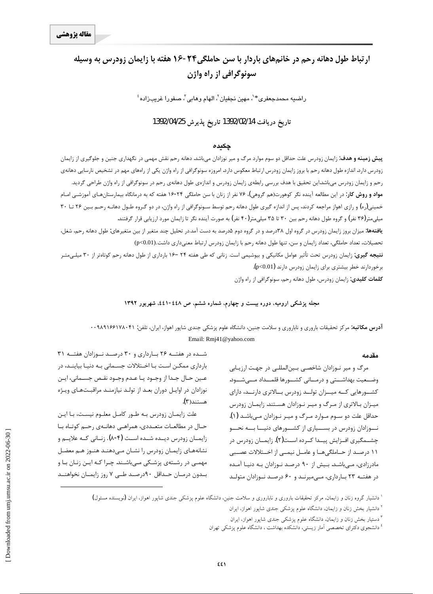# ارتباط طول دهانه رحم در خانمهای باردار با سن حاملگی۲۴-۱۶ هفته با زایمان زودرس به وسیله **سونوگرافی از راه واژن**

 $\epsilon$ راضيه محمدجعفری $^*$ ، مهين نجفيان $^7$ ، الهام وهابی $^7$ ، صفورا غريب<code>زاده</code>

### **1392/04/25Ë~axËZe 1392/02/14d§ZË{xËZe**

### چکیده

**پیش زمینه و هدف**: زایمان زودرس علت حداقل دو سوم موارد مرگ و میر نوزادان میباشد. دهانه رحم نقش مهمی در نگهداری جنین و جلوگیری از زایمان زودرس دارد. اندازه طول دهانه رحم با بروز زایمان زودرس ارتباط معکوس دارد. امروزه سونوگرافی از راه واژن یکی از راههای مهم در تشخیص نارسایی دهانهی رحم و زايمان زودرس مىباشداين تحقيق با هدف بررسى رابطهى زايمان زودرس و اندازەي طول دهانهى رحم در سونوگرافى از راه واژن طراحى گرديد. **مواد و روش کار**: در این مطالعه آینده نگر کوهورت(هم گروهی)، ۷۶ نفر از زنان با سن حاملگی ۲۴-۱۶ هفته که به درمانگاه بیمارستانهـای آموزشـی امـام خمینی(ره) و رازی اهواز مراجعه کردند، پس از اندازه گیری طول دهانه رحم توسط سـونوگرافی از راه واژن، در دو گـروه طـول دهانـه رحـم بـین ۲۶ تـا ۳۰ میلیمتر(۳۶ نفر) و گروه طول دهانه رحم بین ۳۰ تا ۳۵ میلیمتر(۴۰ نفر) به صورت آینده نگر تا زایمان مورد ارزیابی قرار گرفتند. ی**افتهها:** میزان بروز زایمان زودرس در گروه اول ۳۸درصد و در گروه دوم ۵درصد به دست آمد.در تحلیل چند متغیر از بین متغیرهای: طول دهانه رحم، شغل، تحصيلات، تعداد حاملگي، تعداد زايمان و سن، تنها طول دهانه رحم با زايمان زودرس ارتباط معنىداري داشت.(p<0.01) نتیجه گیری: زایمان زودرس تحت تأثیر عوامل مکانیکی و بیوشیمی است. زنانی که طی هفته ۲۴ –۱۶ بارداری از طول دهانه رحم کوتاهتر از ۳۰ میل*ے*،متـر

برخوردارند خطر بيشترى براى زايمان زودرس دارند (p<0.01).

<mark>کلمات کلیدی:</mark> زایمان زودرس، طول دهانه رحم، سونوگرافی از راه واژن

#### مجله پزشکی ارومیه، دوره بیست و چهارم، شماره ششم، ص ٤٤٨-٤٤١، شهریور ١٣٩٢

<mark>آدرس مكاتبه:</mark> مركز تحقيقات باروري و ناباروري و سلامت جنين، دانشگاه علوم پزشكي جندي شاپور اهواز، ايران، تلفن: ۰۰۹۸۹۱۶۶۱۷۸۰۴۱ Email: Rmj41@yahoo.com

#### **مقدمه**

مرگ و میر نـوزادان شاخصـی بـین|لمللـی در جهـت ارزیـابی وضـعیت بهداشــتی و درمــانی کشــورها قلمــداد مــیشــود. کشـورهایی کـه میــزان تولــد زودرس بــالاتری دارنــد، دارای میـزان بـالاتری از مـرگ و میـر نـوزادان هسـتند. زایمـان زودرس حداقل علت دو سـوم مـوارد مـرگ و ميـر نـوزادان مـىباشـد (۱). نــوزادان زودرس در بســيارى از كشــورهاى دنيـــا بـــه نحـــو چشــمگیری افــزایش پیــدا کــرده اســت(۲). زایمــان زودرس در ۱۱ درصـد از حــاملگیهــا و عامــل نیمــی از اخــتلالات عصــبی مادرزادی، مے باشـد. بـیش از ۹۰ درصـد نـوزادان بـه دنیـا آمـده در هفتـه ٢٣ بـاردارى، مـىميرنـد و ۶۰ درصـد نـوزادان متولـد

شـده در هفتــه ۲۶ بــارداری و ۳۰ درصــد نــوزادان هفتــه ۳۱ بارداری ممکـن اسـت بـا اخـتلالات جسـمانی بـه دنيـا بياينـد، در عين حـال جـدا از وجـود يـا عـدم وجـود نقـص جسـماني، ايـن نوزادان در اوایـل دوران بعـد از تولـد نیازمنـد مراقبـتهـای ویـژه هستند(۳).

علت زایمـان زودرس بـه طـور کامـل معلـوم نیسـت، بـا ایـن خـال در مطالعـات متعـددى، همراهـى دهانــهى رحـم كوتــاه بــا زایمـان زودرس دیــده شــده اســت (λ-۴). زنــانی کــه علایــم و نشانههای زایمان زودرس را نشان مهدهند هنـوز هـم معضـل مهمـی در رشـتهی پزشـکی مـیباشـند. چـرا کـه ایـن زنـان بـا و بدون درمـان حـداقل ٩٠درصـد طـي ٧ روز زايمـان نخواهنـد

> ٔ دانشیار گروه زنان و زایمان، مرکز تحقیقات باروری و ناباروری و سلامت جنین، دانشگاه علوم پزشکی جندی شاپور اهواز، ایران **(**نویسنده مسئول**)** <sup>۲</sup> دانشیار بخش زنان و زایمان، دانشگاه علوم پزشکی جندی شاپور اهواز، ایران

> > <sup>۳</sup> دستیار بخش زنان و زایمان، دانشگاه علوم پزشکی جندی شاپور اهواز، ایران

 $\overline{a}$ 

<sup>&</sup>lt;sup>؛</sup> دانشجوی دکترای تخصصی آمار زیستی، دانشکده بهداشت ، دانشگاه علوم پزشکی تهران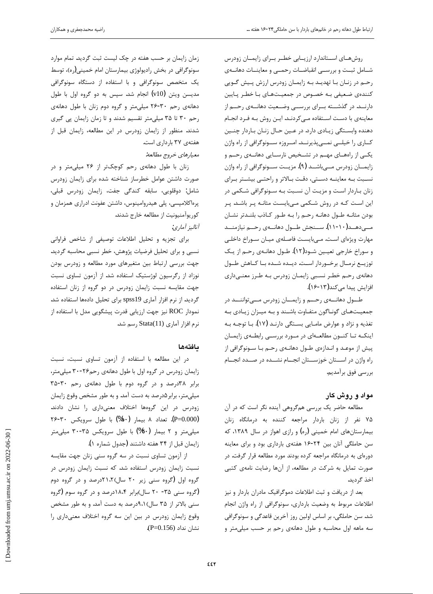روشهـاى اسـتاندارد ارزيـابى خطـر بـراى زايمـان زودرس شامل ثبت وبررسي انقباضات رحمي ومعاينات دهانيهي رحم در زنـان بـا تهديـد بـه زايمـان زودرس ارزش پـيش گـويي كنندەي ضعيفى بـه خصـوص در جمعيـتھـاي بـا خطـر يـايين دارنــد. در گذشــته بــراي بررســي وضــعيت دهانـــهي رحــم از معاینهی با دست استفاده میکردند. ایـن روش بـه فـرد انجـام دهنده وابستگی زیـادی دارد. در عـین حـال زنـان بـاردار چنـین کاری را خیلــی نمــیپذیرنــد. امــروزه ســونوگرافی از راه واژن یکی از راهصای مهـم در تشـخیص نارسـایی دهانـهی رحـم و زایمــان زودرس مـــیباشــد (۹). مزیــت ســـونوگرافی از راه واژن نسبت به معاينـه دستى، دقـت بالاتر و راحتـى بيشـتر بـراي زنان باردار است و مزيت آن نسبت به سونوگرافي شكمي در این است کـه در روش شـکمی مـیبایسـت مثانـه پـر باشـد. پـر بودن مثانـه طـول دهانـه رحـم را بـه طـور كـاذب بلنـدتر نشـان مـے دھـــد(۱۰-۱۰). ســـنجش طـــول دھانـــەی رحـــم نیازمنـــد مهارت ویژهای است. مےبایست فاصلهی میـان سـوراخ داخلـی و سوراخ خارجي تعيـين شـود(١٢). طـول دهانـهي رحـم از يـك توزيــع نرمــال برخــوردار اســت. ديــده شــده بــا كــاهش طــول دهانهی رحم خطـر نسـبی زایمـان زودرس بـه طـرز معنـیداری افزایش پیدا میکند(۱۳-۱۶).

طول دهانه ی رحم و زایمان زودرس مهتوانند در جمعیتهای گونـاگون متفـاوت باشـند و بـه میـزان زیـادی بـه تغذیه و نژاد و عوارض مامـایی بسـتگی دارنـد (۱۷). بـا توجـه بـه اینکـه تـا کنـون مطالعـهای در مـورد بررسـی رابطـهی زایمـان پیش از موعد و انـدازەی طـول دهانــهی رحـم بــا ســونوگرافی از راه واژن در اسـتان خوزسـتان انجــام نشــده در صــدد انجــام بررسي فوق برآمديم.

## **مواد و روش کار**

مطالعه حاضر یک بررسی همگروهی آینده نگر است که در آن ۷۵ نفر از زنان باردار مراجعه كننده به درمانگاه زنان بیمارستانهای امام خمینی (ره) و رازی اهواز در سال ۱۳۸۹، که سن حاملگی آنان بین ۲۴-۱۶ هفتهی بارداری بود و برای معاینه دورهای به درمانگاه مراجعه کرده بودند مورد مطالعه قرار گرفت. در صورت تمایل به شرکت در مطالعه، از آنها رضایت نامهی کتبی اخذ گردید.

بعد از دريافت و ثبت اطلاعات دموگرافيک مادران باردار و نيز اطلاعات مربوط به وضعيت بارداري، سونوگرافي از راه واژن انجام شد. سن حاملگي، بر اساس اولين روز آخرين قاعدگي و سونوگرافي سه ماهه اول محاسبه و طول دهانهی رحم بر حسب میلی متر و

زمان زایمان بر حسب هفته در چک لیست ثبت گردید. تمام موارد سونوگرافی در بخش رادیولوژی بیمارستان امام خمینی(ره)، توسط یک متخصص سونوگرافی و با استفاده از دستگاه سونوگرافی مدیسن ویتن (v10) انجام شد. سیس به دو گروه اول با طول دهانهی رحم ۳۰-۲۶ میلی متر و گروه دوم زنان با طول دهانهی رحم ٣٠ تا ٣٥ ميلي متر تقسيم شدند و تا زمان زايمان پي گيري شدند. منظور از زایمان زودرس در این مطالعه، زایمان قبل از هفتهي ٣٧ بارداري است.

معيارهاي خروج مطالعه:

زنان با طول دهانهی رحم کوچکتر از ٢۶ میلی متر و در ضورت داشتن عوامل خطرساز شناخته شده براى زايمان زودرس شامل: دوقلويي، سابقه كندگى جفت، زايمان زودرس قبلى، پرهاکلامپسی، پلی هیدروامینوس، داشتن عفونت ادراری همزمان و كوريوآمنيونيت از مطالعه خارج شدند. آناليز آما<sub>دي</sub>:

برای تجزیه و تحلیل اطلاعات توصیفی از شاخص فراوانی نسبی و برای تحلیل فرضیات پژوهش، خطر نسبی محاسبه گردید. جهت بررسی ارتباط بین متغیرهای مورد مطالعه و زودرس بودن نوزاد از رگرسیون لوژستیک استفاده شد. از آزمون تساوی نسبت جهت مقایسه نسبت زایمان زودرس در دو گروه از زنان استفاده گرديد. از نرم افزار آماري spss19 براي تحليل دادهها استفاده شد. نمودار ROC نيز جهت ارزيابي قدرت پيشگويي مدل با استفاده از نرم افزار آماری Stata(11) رسم شد.

# **مافت**ەھا

در این مطالعه با استفاده از آزمون تساوی نسبت، نسبت زایمان زودرس در گروه اول با طول دهانهی رحم۲۶-۳۰ میلی متر، برابر ٣٨درصد و در گروه دوم با طول دهانهى رحم ٣٠-٣٥ میلی متر، برابر ۵درصد به دست آمد. و به طور مشخص وقوع زایمان زودرس در این گروهها اختلاف معنیداری را نشان دادند. (P=0.000). تعداد ٨ بيمار (٨٠%) با طول سرويكس ٣٠-٢۶ میلی متر و ۲ بیمار (۲۰%) با طول سرویکس ۳۵-۳۰ میلی متر زايمان قبل از ٣۴ هفته داشتند (جدول شماره ١).

از آزمون تساوی نسبت در سه گروه سنی زنان جهت مقایسه نسبت زایمان زودرس استفاده شد. که نسبت زایمان زودرس در گروه اول (گروه سنی زیر ۲۰ سال)۲۱،۲درصد و در گروه دوم (گروه سنی ۳۵- ۲۰ سال)برابر ۱۸،۴درصد و در گروه سوم (گروه سنی بالاتر از ۳۵ سال)۹،۱درصد به دست آمد. و به طور مشخص وقوع زایمان زودرس در بین این سه گروه اختلاف معنیداری را نشان نداد (P=0.156).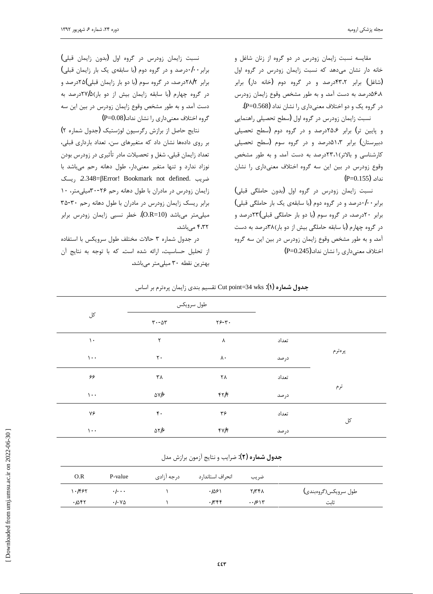مقايسه نسبت زايمان زودرس در دو گروه از زنان شاغل و خانه دار نشان میدهد که نسبت زایمان زودرس در گروه اول (شاغل) برابر ۴۳،۲درصد و در گروه دوم (خانه دار) برابر گ۵۶٬۸درصد به دست آمد. و به طور مشخص وقوع زایمان زودرس در گروه یک و دو اختلاف معنیداری را نشان نداد (P=0.568).

نسبت زايمان زودرس در گروه اول (سطح تحصيلي راهنمايي و پایین تر) برابر ۲۵،۶درصد و در گروه دوم (سطح تحصیلی دبیرستان) برابر ۵۱،۳درصد و در گروه سوم (سطح تحصیلی کارشناسی و بالاتر)۲۳،۱درصد به دست آمد. و به طور مشخص وقوع زودرس در بين اين سه گروه اختلاف معنىدارى را نشان  $(P=0.155)$  .نداد.

نسبت زایمان زودرس در گروه اول (بدون حاملگی قبلی) برابر ۰/۰درصد و در گروه دوم (با سابقهی یک بار حاملگی قبلی) برابر ۲۰درصد، در گروه سوم (با دو بار حاملگی قبلی)۲۳درصد و در گروه چهارم (با سابقه حاملگی بیش از دو بار)۳۸درصد به دست آمد. و به طور مشخص وقوع زایمان زودرس در بین این سه گروه (P=0.245).bře اختلاف معنى داري را نشان نداد

نسبت زايمان زودرس در گروه اول (بدون زايمان قبلي) برابر ٠٠/٠درصد و در گروه دوم (يا سابقهى يک بار زايمان قبلى) برابر ۲۸/۲درصد، در گروه سوم (با دو بار زایمان قبلی)۲۵درصد و در گروه چهارم (با سابقه زایمان بیش از دو بار)۲۷/۵درصد به دست آمد. و به طور مشخص وقوع زایمان زودرس در بین این سه گروه اختلاف معنى دارى را نشان نداد.(P=0.08)

نتايج حاصل از برازش رگرسيون لوژستيک (جدول شماره ٢) بر روی دادهها نشان داد که متغیرهای سن، تعداد بارداری قبلی، تعداد زايمان قبلي، شغل و تحصيلات مادر تأثيري در زودرس بودن نوزاد ندارد و تنها متغير معنى دار، طول دهانه رحم مى باشد با ضريب .2.348=βError! Bookmark not defined. ريسك زایمان زودرس در مادران با طول دهانه رحم ٢۶-٣٠ميلي متر، ١٠ برابر ريسك زايمان زودرس در مادران با طول دهانه رحم ٣٠-٣۵ میلی متر می باشد (O.R=10). خطر نسبی زایمان زودرس برابر ۴،۳۲ مے باشد.

در جدول شماره ۳ حالات مختلف طول سرويكس با استفاده از تحليل حساسيت، ارائه شده است. كه با توجه به نتايج آن بهترين نقطه ٣٠ ميلي متر مي باشد.

|        | $-$   | $-$            | $\sim$ , $\sim$ $\sim$ $\sim$ $\sim$ $\sim$ $\sim$ $\sim$ |                 |
|--------|-------|----------------|-----------------------------------------------------------|-----------------|
|        |       |                | طول سرويكس                                                |                 |
|        |       | $YS-T$ .       | $\mathbf{r}\cdot\mathbf{-\Delta}\mathbf{r}$               | کل              |
|        | تعداد | $\pmb{\wedge}$ | ٢                                                         | $\mathcal{N}$   |
| پرەترم | درصد  | $\lambda$ .    | $\mathbf{r}\cdot$                                         | $\cdots$        |
|        | تعداد | ۲۸             | $\tau\lambda$                                             | ۶۶              |
| ترم    | درصد  | 4177           | $\Delta V/\gamma$                                         | $\mathcal{L}$ . |
| کل     | تعداد | ۳۶             | $\mathfrak{r}$ .                                          | ٧۶              |
|        | درصد  | $f\vee f$      | $\Delta \Upsilon/\varsigma$                               | $\mathcal{L}$ . |

ŽŚſřźŝ ƭźţƵźěƱŚưƿřŻƽŶƴŝƮǀƀƤţ Cut point=34 wks **:(æ) ƵŹŚưƃ ƩƹŶū**

j

ج**دول شماره (۲)**: ضرايب و نتايج آزمون برازش مدل

| O.R   | P-value                      | درجه آزادی | انحراف استاندار د | ضريب    |                      |
|-------|------------------------------|------------|-------------------|---------|----------------------|
| ۶۶۲ . | $\cdot$ / $\cdot$ $\cdot$    |            | ۱۵۶۱.             | ۲۳۴۸    | طول سرويكس(گروەبندى) |
| ۰/۵۴۲ | $\cdot$ / $\cdot$ Y $\Delta$ |            | $.$ I $\epsilon$  | $-1915$ | ثاىت                 |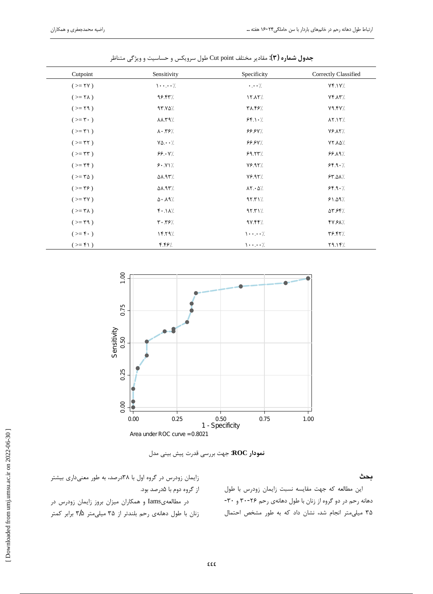| Cutpoint                            | Sensitivity                       | Specificity               | Correctly Classified |
|-------------------------------------|-----------------------------------|---------------------------|----------------------|
| $(>=$ YY)                           | $\cdot \cdot \cdot$ /             | $\cdot \cdot \cdot /$     | Yf.1Y/               |
| $(>=$ $\uparrow \uparrow \uparrow)$ | 98.44%                            | 17.17/                    | $Yf \Lambda Y$       |
| $(>= 19)$                           | 97.70/                            | /۲۸.۴۶                    | Y9.5Y/               |
| $(>=\mathbf{r}\cdot)$               | 11 YY                             | $56$ \ $\cdot$ /          | $\lambda Y.1Y/$      |
| $(>= r \)$                          | $\lambda \cdot \gamma$ $\gamma$ / | 99.9                      | <b>YS.AY/</b>        |
| $(>= r r)$                          | $Y\Delta \cdot \cdot /$           | 99.94/                    | $YYA\Delta/$         |
| $(>= r r)$                          | 99.4                              | 99.77/                    | 99.19/               |
| $(>=$ $\uparrow \uparrow$ )         | 9.1                               | Y5.91                     | 55.9.7               |
| $(>=\tau \Delta)$                   | 51.93%                            | Y5.91                     | 54.01/               |
| $(>=\mathbf{Y}\mathbf{P})$          | <b>AA.95%</b>                     | $\lambda Y \cdot \Delta/$ | 99.1                 |
| $(>=$ YY)                           | $\Delta$ $\cdot$ $\Lambda$ 9 $/$  | 4551/                     | 91.09/               |
| $(>=\tau \lambda)$                  | $f \cdot \Lambda$ /               | 4551/                     | /۵۳.۶۴               |
| $(>= r \cdot 9)$                    | $Y \cdot Y$ ۶/                    | 9Y.99/                    | 47.6X                |
| $(>=\mathbf{f}\cdot)$               | 1579/                             | $\cdot \cdot \cdot$ /     | Y5.57/               |
| $(>=f1)$                            | 4.49                              | $\cdots$                  | /۲۹.۱۴               |

جدول شماره (۳): مقادیر مختلف Cut point طول سرویکس و حساسیت و ویژگی متناظر



نمودار ROC: جهت بررسي قدرت پيش بيني مدل

زایمان زودرس در گروه اول با ۳۸درصد، به طور معنیداری بیشتر از گروه دوم با ۵درصد بود. در مطالعهیIams و همکاران میزان بروز زایمان زودرس در زنان با طول دهانهی رحم بلندتر از ۳۵ میلی متر ۳/۵ برابر کمتر

این مطالعه که جهت مقایسه نسبت زایمان زودرس با طول دهانه رحم در دو گروه از زنان با طول دهانهی رحم ۲۶-۳۰ و ۳۰-۳۵ میلی متر انجام شد، نشان داد که به طور مشخص احتمال

بحث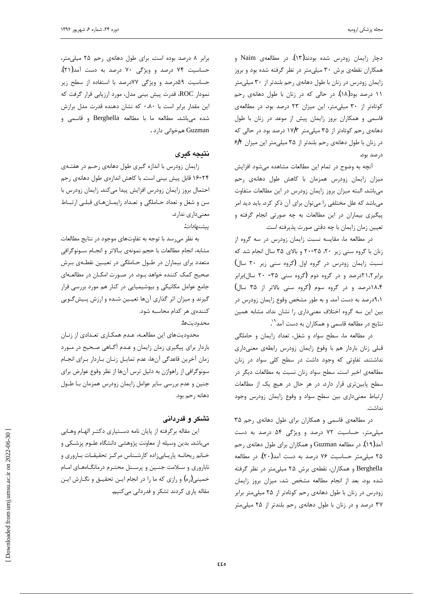دچار زايمان زودرس شده بودند(۱۳). در مطالعهی Naim و همکاران نقطهی برش ۳۰ میلیمتر در نظر گرفته شده بود و بروز زایمان زودرس در زنان با طول دهانهی رحم بلندتر از ۳۰ میلی متر ۱۱ درصد بود(۱۸). در حالی که در زنان با طول دهانهی رحم كوتاهتر از ٣٠ ميلى متر، اين ميزان ٢٣ درصد بود. در مطالعهى قاسمی و همکاران بروز زایمان پیش از موعد در زنان با طول دهانهی رحم کوتاهتر از ۳۵ میلی متر ۱۷/۳ درصد بود در حالی که  $\mathcal{P}$ در زنان با طول دهانهی رحم بلندتر از ۳۵ میلی متر این میزان درصد بود.

آنچه به وضوح در تمام این مطالعات مشاهده میشود افزایش میزان زایمان زودرس همزمان با کاهش طول دهانهی رحم میباشد. البته میزان بروز زایمان زودرس در این مطالعات متفاوت میباشد که علل مختلفی را میتوان برای آن ذکر کرد. باید دید امر پیگیری بیماران در این مطالعات به چه صورتی انجام گرفته و تعيين زمان زايمان با چه دقتي صورت پذيرفته است.

در مطالعه ما، مقايسه نسبت زايمان زودرس در سه گروه از زنان با گروه سنی زیر ۲۰، ۳۵-۲۰ و بالای ۳۵ سال انجام شد که نسبت زايمان زودرس در گروه اول (گروه سنى زير ٢٠ سال) برابر ٢،٢١ درصد و در گروه دوم (گروه سنی ٣۵- ٢٠ سال)برابر ۱۸،۴درصد و در گروه سوم (گروه سنی بالاتر از ۳۵ سال) ۹،۱درصد به دست آمد. و به طور مشخص وقوع زایمان زودرس در بین این سه گروه اختلاف معنیداری را نشان نداد. مشابه همین نتايج در مطالعه قاسمي و همكاران به دست آمد<sup>۹</sup>'.

در مطالعه ما، سطح سواد و شغل، تعداد زايمان و حاملگى قبلی زنان باردار هم با وقوع زایمان زودرس رابطهی معنیداری نداشتند. تفاوتی که وجود داشت در سطح کلی سواد در زنان مطالعهی اخیر است. سطح سواد زنان نسبت به مطالعات دیگر در شطح پایینتری قرار دارد. در هر حال در هیچ یک از مطالعات ارتباط معنى دارى بين سطح سواد و وقوع زايمان زودرس وجود نداشت.

در مطالعهی قاسمی و همکاران برای طول دهانهی رحم ۳۵ میلیمتر، حساسیت ۷۲ درصد و ویژگی ۵۴ درصد به دست آمد(۱۹). در مطالعه Guzman و همکاران برای طول دهانهی رحم ۲۵ میل<sub>ک</sub>متر حساسیت ۷۶ درصد به دست آمد(۲۰). در مطالعه Berghella و همكاران، نقطهى برش ۲۵ ميلي متر در نظر گرفته شده بود. بعد از انجام مطالعه مشخص شد، میزان بروز زایمان زودرس در زنان با طول دهانهی رحم کوتاهتر از ۲۵ میلی متر برابر ۳۷ درصد و در زنان با طول دهانهی رحم بلندتر از ۲۵ میلی متر

برابر ٨ درصد بوده است. براى طول دهانهى رحم ٢۵ ميلى متر، حساسیت ۷۴ درصد و ویژگی ۷۰ درصد به دست آمد(۲۱). حساسيت ۵۹درصد و ويژگى ۷۷درصد با استفاده از سطح زير نمودار ROC، قدرت پیش بینی مدل، مورد ارزیابی قرار گرفت که این مقدار برابر است با ۰٬۸۰ که نشان دهنده قدرت مدل برازش شده میباشد. مطالعه ما با مطالعه Berghella و قاسمی و Guzman همخوانی دارد .

## **نتيجه گيري**

j

زایمان زودرس با اندازه گیری طول دهانهی رحم در هفتـهی ۲۴-۱۶ قابل پیش بینی است. با کاهش اندازهی طول دهانهی رحم احتمال بروز زايمان زودرس افزايش پيدا مى كند. زايمان زودرس با سن و شغل و تعداد حـاملگي و تعـداد زايمـانهـاي قبلـي ارتبـاط معنىدارى ندارد.

پيشنهادات:

به نظر میرسد با توجه به تفاوتهای موجود در نتایج مطالعات مشابه، انجام مطالعات با حجم نمونهي بـالاتر و انجـام سـونوگرافي متعدد برای بیماران در طـول حـاملگی در تعیـین نقطـهی بـرش صحیح کمک کننده خواهد بـود. در صـورت امکـان در مطالعـهای جامع عوامل مكانيكي و بيوشيميايي در كنار هم مورد بررسي قرار گیرند و میزان اثر گذاری آنها تعیـین شـده و ارزش پـیشگـویی کنندهی هر کدام محاسبه شود. محدوديتها:

محدودیتهای این مطالعـه، عـدم همكـاری تعـدادی از زنـان باردار براي پيگيري زمان زايمان و عـدم أگـاهي صـحيح در مـورد زمان آخرين قاعدگي آنها، عدم تمايـل زنـان بـاردار بـراي انجـام سونوگرافی از راهواژن به دلیل ترس آنها از نظر وقوع عوارض برای جنین و عدم بررسی سایر عوامل زایمان زودرس همزمان بـا طـول دهانه رحم بود.

# **تشکر و قدردانی**

این مقاله برگرفته از پایان نامه دسـتیاری دکتـر الهـام وهـابی میباشد. بدین وسیله از معاونت پژوهشی دانشگاه علـوم پزشـکی و خانم ريحانـه پاريـابيزاده كارشـناس مركـز تحقيقـات بـارورى و ناباروری و سلامت جنین و پرسنل محترم درمانگاههای امام خمینی(ره) و رازی که ما را در انجام ایـن تحقیـق و نگـارش ایـن مقاله ياري كردند تشكر و قدرداني ميكنيم.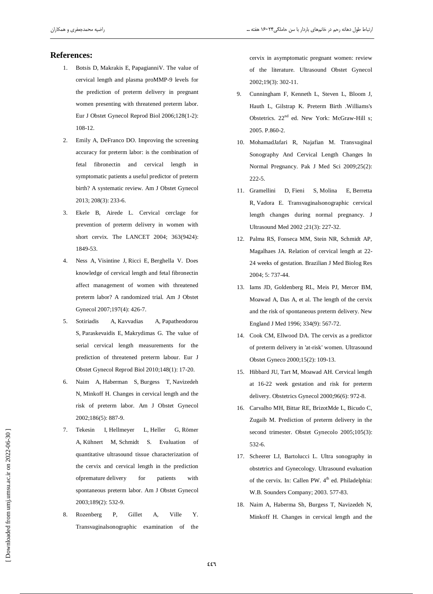#### **References:**

- Botsis D, Makrakis E, PapagianniV. The value of  $1.$ cervical length and plasma proMMP-9 levels for the prediction of preterm delivery in pregnant women presenting with threatened preterm labor. Eur J Obstet Gynecol Reprod Biol 2006;128(1-2): 108-12.
- $2.$ Emily A, DeFranco DO. Improving the screening accuracy for preterm labor: is the combination of fetal fibronectin and cervical length in symptomatic patients a useful predictor of preterm birth? A systematic review. Am J Obstet Gynecol 2013; 208(3): 233-6.
- Ekele B, Airede L. Cervical cerclage for  $\mathcal{R}$ prevention of preterm delivery in women with short cervix. The LANCET 2004; 363(9424): 1849-53.
- $\overline{4}$ . Ness A, Visintine J, Ricci E, Berghella V. Does knowledge of cervical length and fetal fibronectin affect management of women with threatened preterm labor? A randomized trial. Am J Obstet Gynecol 2007;197(4): 426-7.
- 5. Sotiriadis A, Kavvadias A, Papatheodorou S, Paraskevaidis E, Makrydimas G. The value of serial cervical length measurements for the prediction of threatened preterm labour. Eur J Obstet Gynecol Reprod Biol 2010;148(1): 17-20.
- 6. Naim A, Haberman S, Burgess T, Navizedeh N, Minkoff H. Changes in cervical length and the risk of preterm labor. Am J Obstet Gynecol 2002;186(5): 887-9.
- Tekesin I, Hellmeyer L, Heller G, Römer  $7.$ A, Kühnert M, Schmidt S. Evaluation of quantitative ultrasound tissue characterization of the cervix and cervical length in the prediction ofpremature delivery  $for$ patients with spontaneous preterm labor. Am J Obstet Gynecol 2003;189(2): 532-9.
- Gillet 8. Rozenberg P. Ville Y. A, Transvaginalsonographic examination of the

cervix in asymptomatic pregnant women: review of the literature. Ultrasound Obstet Gynecol 2002;19(3): 302-11.

- 9. Cunningham F, Kenneth L, Steven L, Bloom J, Hauth L, Gilstrap K. Preterm Birth .Williams's Obstetrics. 22<sup>nd</sup> ed. New York: McGraw-Hill s; 2005. P.860-2.
- 10. MohamadJafari R, Najafian M. Transvaginal Sonography And Cervical Length Changes In Normal Pregnancy. Pak J Med Sci 2009;25(2):  $222 - 5.$
- 11. Gramellini D, Fieni S, Molina E, Berretta R, Vadora E. Transvaginalsonographic cervical length changes during normal pregnancy. J Ultrasound Med 2002 ;21(3): 227-32.
- 12. Palma RS, Fonseca MM, Stein NR, Schmidt AP, Magalhaes JA. Relation of cervical length at 22-24 weeks of gestation. Brazilian J Med Biolog Res 2004; 5: 737-44.
- 13. Iams JD, Goldenberg RL, Meis PJ, Mercer BM, Moawad A, Das A, et al. The length of the cervix and the risk of spontaneous preterm delivery. New England J Med 1996; 334(9): 567-72.
- 14. Cook CM, Ellwood DA. The cervix as a predictor of preterm delivery in 'at-risk' women. Ultrasound Obstet Gyneco 2000;15(2): 109-13.
- 15. Hibbard JU, Tart M, Moawad AH. Cervical length at 16-22 week gestation and risk for preterm delivery. Obstetrics Gynecol 2000;96(6): 972-8.
- 16. Carvalho MH, Bittar RE, BrizotMde L, Bicudo C, Zugaib M. Prediction of preterm delivery in the second trimester. Obstet Gynecolo 2005;105(3): 532-6.
- 17. Scheerer LJ, Bartolucci L. Ultra sonography in obstetrics and Gynecology. Ultrasound evaluation of the cervix. In: Callen PW. 4<sup>th</sup> ed. Philadelphia: W.B. Sounders Company; 2003. 577-83.
- 18. Naim A, Haberma Sh, Burgess T, Navizedeh N, Minkoff H. Changes in cervical length and the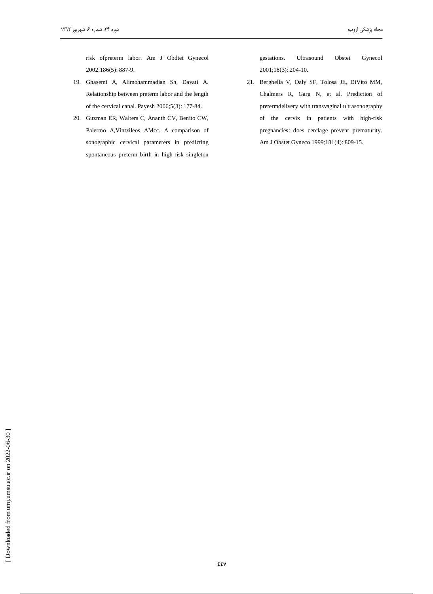risk ofpreterm labor. Am J Obdtet Gynecol 2002;186(5): 887-9.

- 19. Ghasemi A, Alimohammadian Sh, Davati A. Relationship between preterm labor and the length of the cervical canal. Payesh 2006;5(3): 177-84.
- 20. Guzman ER, Walters C, Ananth CV, Benito CW, Palermo A, Vintzileos AMcc. A comparison of sonographic cervical parameters in predicting spontaneous preterm birth in high-risk singleton

Obstet gestations. Ultrasound Gynecol 2001;18(3): 204-10.

21. Berghella V, Daly SF, Tolosa JE, DiVito MM, Chalmers R, Garg N, et al. Prediction of pretermdelivery with transvaginal ultrasonography of the cervix in patients with high-risk pregnancies: does cerclage prevent prematurity. Am J Obstet Gyneco 1999;181(4): 809-15.